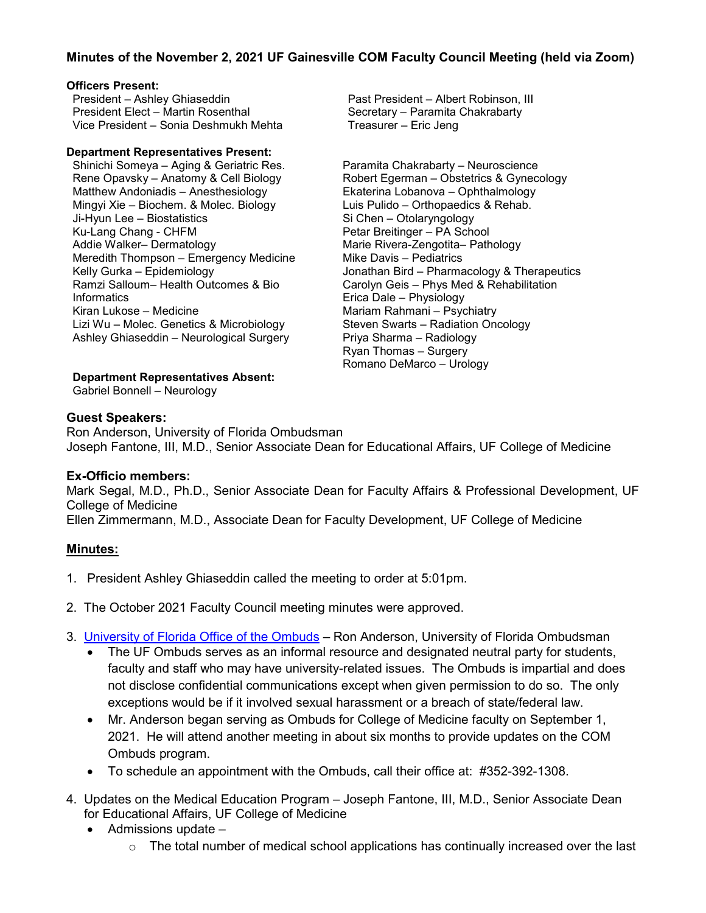# **Minutes of the November 2, 2021 UF Gainesville COM Faculty Council Meeting (held via Zoom)**

### **Officers Present:**

President – Ashley Ghiaseddin President Elect – Martin Rosenthal Vice President – Sonia Deshmukh Mehta

#### **Department Representatives Present:**

Shinichi Someya – Aging & Geriatric Res. Rene Opavsky – Anatomy & Cell Biology Matthew Andoniadis – Anesthesiology Mingyi Xie – Biochem. & Molec. Biology Ji-Hyun Lee – Biostatistics Ku-Lang Chang - CHFM Addie Walker– Dermatology Meredith Thompson – Emergency Medicine Kelly Gurka – Epidemiology Ramzi Salloum– Health Outcomes & Bio **Informatics** Kiran Lukose – Medicine Lizi Wu – Molec. Genetics & Microbiology Ashley Ghiaseddin – Neurological Surgery

Past President – Albert Robinson, III Secretary – Paramita Chakrabarty Treasurer – Eric Jeng

Paramita Chakrabarty – Neuroscience Robert Egerman – Obstetrics & Gynecology Ekaterina Lobanova – Ophthalmology Luis Pulido – Orthopaedics & Rehab. Si Chen – Otolaryngology Petar Breitinger – PA School Marie Rivera-Zengotita– Pathology Mike Davis – Pediatrics Jonathan Bird – Pharmacology & Therapeutics Carolyn Geis – Phys Med & Rehabilitation Erica Dale – Physiology Mariam Rahmani – Psychiatry Steven Swarts – Radiation Oncology Priya Sharma – Radiology Ryan Thomas – Surgery Romano DeMarco – Urology

**Department Representatives Absent:**

Gabriel Bonnell – Neurology

## **Guest Speakers:**

Ron Anderson, University of Florida Ombudsman Joseph Fantone, III, M.D., Senior Associate Dean for Educational Affairs, UF College of Medicine

# **Ex-Officio members:**

Mark Segal, M.D., Ph.D., Senior Associate Dean for Faculty Affairs & Professional Development, UF College of Medicine Ellen Zimmermann, M.D., Associate Dean for Faculty Development, UF College of Medicine

# **Minutes:**

- 1. President Ashley Ghiaseddin called the meeting to order at 5:01pm.
- 2. The October 2021 Faculty Council meeting minutes were approved.
- 3. [University of Florida Office of the Ombuds](https://ombuds.ufl.edu/) Ron Anderson, University of Florida Ombudsman
	- The UF Ombuds serves as an informal resource and designated neutral party for students, faculty and staff who may have university-related issues. The Ombuds is impartial and does not disclose confidential communications except when given permission to do so. The only exceptions would be if it involved sexual harassment or a breach of state/federal law.
	- Mr. Anderson began serving as Ombuds for College of Medicine faculty on September 1, 2021. He will attend another meeting in about six months to provide updates on the COM Ombuds program.
	- To schedule an appointment with the Ombuds, call their office at: #352-392-1308.
- 4. Updates on the Medical Education Program Joseph Fantone, III, M.D., Senior Associate Dean for Educational Affairs, UF College of Medicine
	- Admissions update
		- $\circ$  The total number of medical school applications has continually increased over the last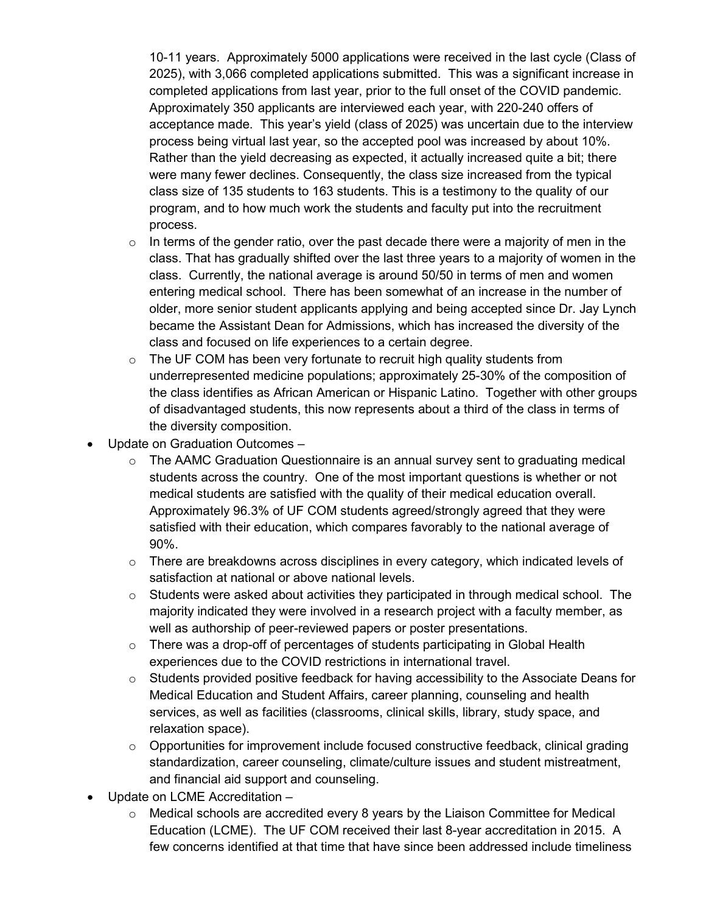10-11 years. Approximately 5000 applications were received in the last cycle (Class of 2025), with 3,066 completed applications submitted. This was a significant increase in completed applications from last year, prior to the full onset of the COVID pandemic. Approximately 350 applicants are interviewed each year, with 220-240 offers of acceptance made. This year's yield (class of 2025) was uncertain due to the interview process being virtual last year, so the accepted pool was increased by about 10%. Rather than the yield decreasing as expected, it actually increased quite a bit; there were many fewer declines. Consequently, the class size increased from the typical class size of 135 students to 163 students. This is a testimony to the quality of our program, and to how much work the students and faculty put into the recruitment process.

- $\circ$  In terms of the gender ratio, over the past decade there were a majority of men in the class. That has gradually shifted over the last three years to a majority of women in the class. Currently, the national average is around 50/50 in terms of men and women entering medical school. There has been somewhat of an increase in the number of older, more senior student applicants applying and being accepted since Dr. Jay Lynch became the Assistant Dean for Admissions, which has increased the diversity of the class and focused on life experiences to a certain degree.
- $\circ$  The UF COM has been very fortunate to recruit high quality students from underrepresented medicine populations; approximately 25-30% of the composition of the class identifies as African American or Hispanic Latino. Together with other groups of disadvantaged students, this now represents about a third of the class in terms of the diversity composition.
- Update on Graduation Outcomes
	- $\circ$  The AAMC Graduation Questionnaire is an annual survey sent to graduating medical students across the country. One of the most important questions is whether or not medical students are satisfied with the quality of their medical education overall. Approximately 96.3% of UF COM students agreed/strongly agreed that they were satisfied with their education, which compares favorably to the national average of 90%.
	- $\circ$  There are breakdowns across disciplines in every category, which indicated levels of satisfaction at national or above national levels.
	- $\circ$  Students were asked about activities they participated in through medical school. The majority indicated they were involved in a research project with a faculty member, as well as authorship of peer-reviewed papers or poster presentations.
	- $\circ$  There was a drop-off of percentages of students participating in Global Health experiences due to the COVID restrictions in international travel.
	- $\circ$  Students provided positive feedback for having accessibility to the Associate Deans for Medical Education and Student Affairs, career planning, counseling and health services, as well as facilities (classrooms, clinical skills, library, study space, and relaxation space).
	- $\circ$  Opportunities for improvement include focused constructive feedback, clinical grading standardization, career counseling, climate/culture issues and student mistreatment, and financial aid support and counseling.
- Update on LCME Accreditation
	- $\circ$  Medical schools are accredited every 8 years by the Liaison Committee for Medical Education (LCME). The UF COM received their last 8-year accreditation in 2015. A few concerns identified at that time that have since been addressed include timeliness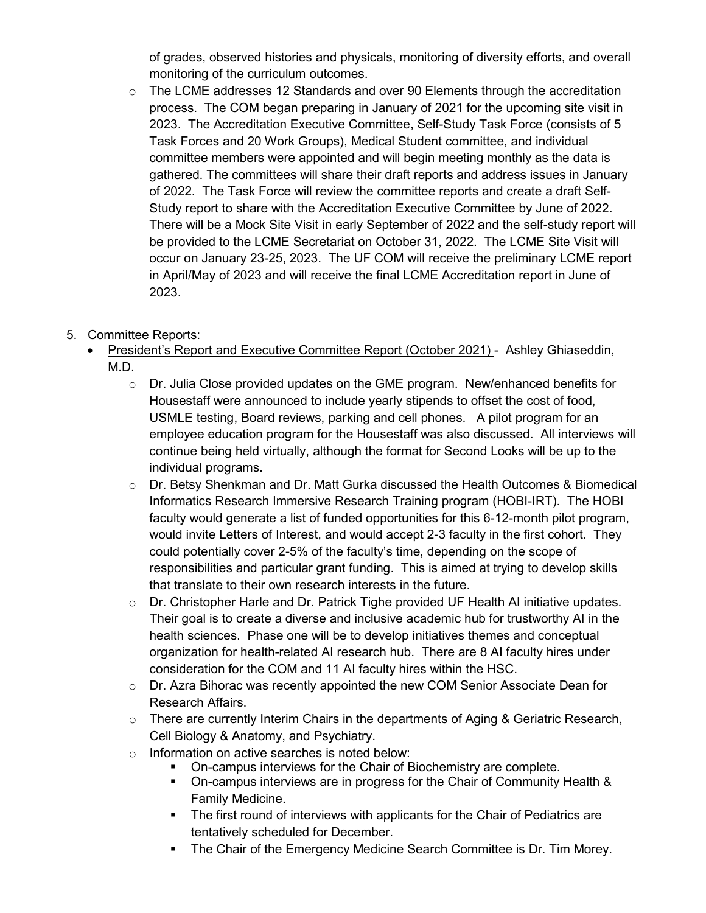of grades, observed histories and physicals, monitoring of diversity efforts, and overall monitoring of the curriculum outcomes.

 $\circ$  The LCME addresses 12 Standards and over 90 Elements through the accreditation process. The COM began preparing in January of 2021 for the upcoming site visit in 2023. The Accreditation Executive Committee, Self-Study Task Force (consists of 5 Task Forces and 20 Work Groups), Medical Student committee, and individual committee members were appointed and will begin meeting monthly as the data is gathered. The committees will share their draft reports and address issues in January of 2022. The Task Force will review the committee reports and create a draft Self-Study report to share with the Accreditation Executive Committee by June of 2022. There will be a Mock Site Visit in early September of 2022 and the self-study report will be provided to the LCME Secretariat on October 31, 2022. The LCME Site Visit will occur on January 23-25, 2023. The UF COM will receive the preliminary LCME report in April/May of 2023 and will receive the final LCME Accreditation report in June of 2023.

# 5. Committee Reports:

- President's Report and Executive Committee Report (October 2021) Ashley Ghiaseddin, M.D.
	- $\circ$  Dr. Julia Close provided updates on the GME program. New/enhanced benefits for Housestaff were announced to include yearly stipends to offset the cost of food, USMLE testing, Board reviews, parking and cell phones. A pilot program for an employee education program for the Housestaff was also discussed. All interviews will continue being held virtually, although the format for Second Looks will be up to the individual programs.
	- $\circ$  Dr. Betsy Shenkman and Dr. Matt Gurka discussed the Health Outcomes & Biomedical Informatics Research Immersive Research Training program (HOBI-IRT). The HOBI faculty would generate a list of funded opportunities for this 6-12-month pilot program, would invite Letters of Interest, and would accept 2-3 faculty in the first cohort. They could potentially cover 2-5% of the faculty's time, depending on the scope of responsibilities and particular grant funding. This is aimed at trying to develop skills that translate to their own research interests in the future.
	- o Dr. Christopher Harle and Dr. Patrick Tighe provided UF Health AI initiative updates. Their goal is to create a diverse and inclusive academic hub for trustworthy AI in the health sciences. Phase one will be to develop initiatives themes and conceptual organization for health-related AI research hub. There are 8 AI faculty hires under consideration for the COM and 11 AI faculty hires within the HSC.
	- $\circ$  Dr. Azra Bihorac was recently appointed the new COM Senior Associate Dean for Research Affairs.
	- $\circ$  There are currently Interim Chairs in the departments of Aging & Geriatric Research, Cell Biology & Anatomy, and Psychiatry.
	- o Information on active searches is noted below:
		- On-campus interviews for the Chair of Biochemistry are complete.
		- On-campus interviews are in progress for the Chair of Community Health & Family Medicine.
		- The first round of interviews with applicants for the Chair of Pediatrics are tentatively scheduled for December.
		- **The Chair of the Emergency Medicine Search Committee is Dr. Tim Morey.**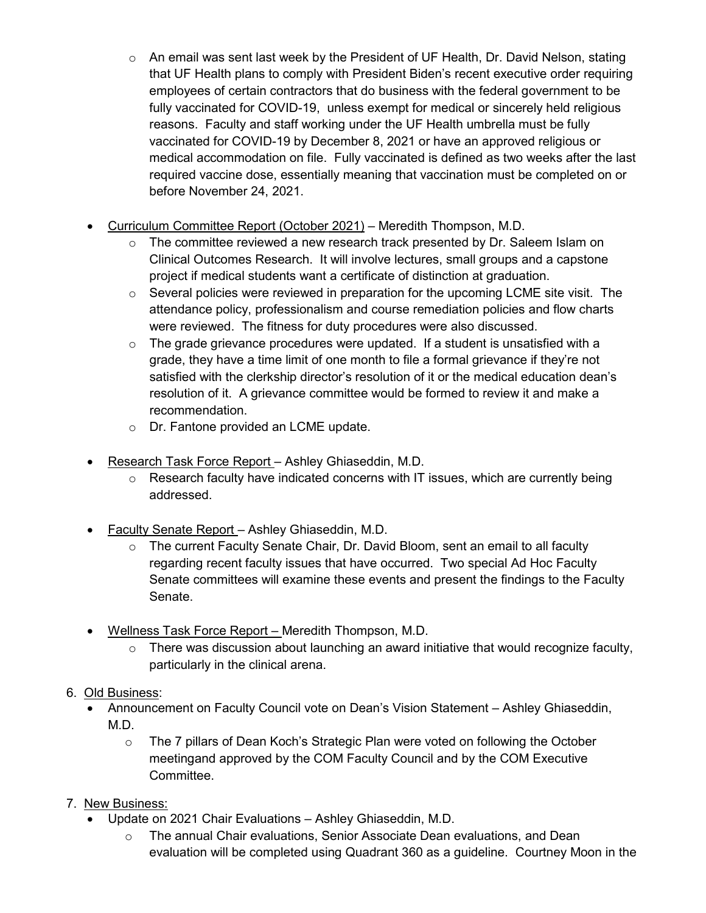- o An email was sent last week by the President of UF Health, Dr. David Nelson, stating that UF Health plans to comply with President Biden's recent executive order requiring employees of certain contractors that do business with the federal government to be fully vaccinated for COVID-19, unless exempt for medical or sincerely held religious reasons. Faculty and staff working under the UF Health umbrella must be fully vaccinated for COVID-19 by December 8, 2021 or have an approved religious or medical accommodation on file. Fully vaccinated is defined as two weeks after the last required vaccine dose, essentially meaning that vaccination must be completed on or before November 24, 2021.
- Curriculum Committee Report (October 2021) Meredith Thompson, M.D.
	- $\circ$  The committee reviewed a new research track presented by Dr. Saleem Islam on Clinical Outcomes Research. It will involve lectures, small groups and a capstone project if medical students want a certificate of distinction at graduation.
	- $\circ$  Several policies were reviewed in preparation for the upcoming LCME site visit. The attendance policy, professionalism and course remediation policies and flow charts were reviewed. The fitness for duty procedures were also discussed.
	- $\circ$  The grade grievance procedures were updated. If a student is unsatisfied with a grade, they have a time limit of one month to file a formal grievance if they're not satisfied with the clerkship director's resolution of it or the medical education dean's resolution of it. A grievance committee would be formed to review it and make a recommendation.
	- o Dr. Fantone provided an LCME update.
- Research Task Force Report Ashley Ghiaseddin, M.D.
	- $\circ$  Research faculty have indicated concerns with IT issues, which are currently being addressed.
- Faculty Senate Report Ashley Ghiaseddin, M.D.
	- $\circ$  The current Faculty Senate Chair, Dr. David Bloom, sent an email to all faculty regarding recent faculty issues that have occurred. Two special Ad Hoc Faculty Senate committees will examine these events and present the findings to the Faculty Senate.
- Wellness Task Force Report Meredith Thompson, M.D.
	- $\circ$  There was discussion about launching an award initiative that would recognize faculty, particularly in the clinical arena.
- 6. Old Business:
	- Announcement on Faculty Council vote on Dean's Vision Statement Ashley Ghiaseddin, M.D.
		- $\circ$  The 7 pillars of Dean Koch's Strategic Plan were voted on following the October meetingand approved by the COM Faculty Council and by the COM Executive Committee.
- 7. New Business:
	- Update on 2021 Chair Evaluations Ashley Ghiaseddin, M.D.
		- The annual Chair evaluations, Senior Associate Dean evaluations, and Dean evaluation will be completed using Quadrant 360 as a guideline. Courtney Moon in the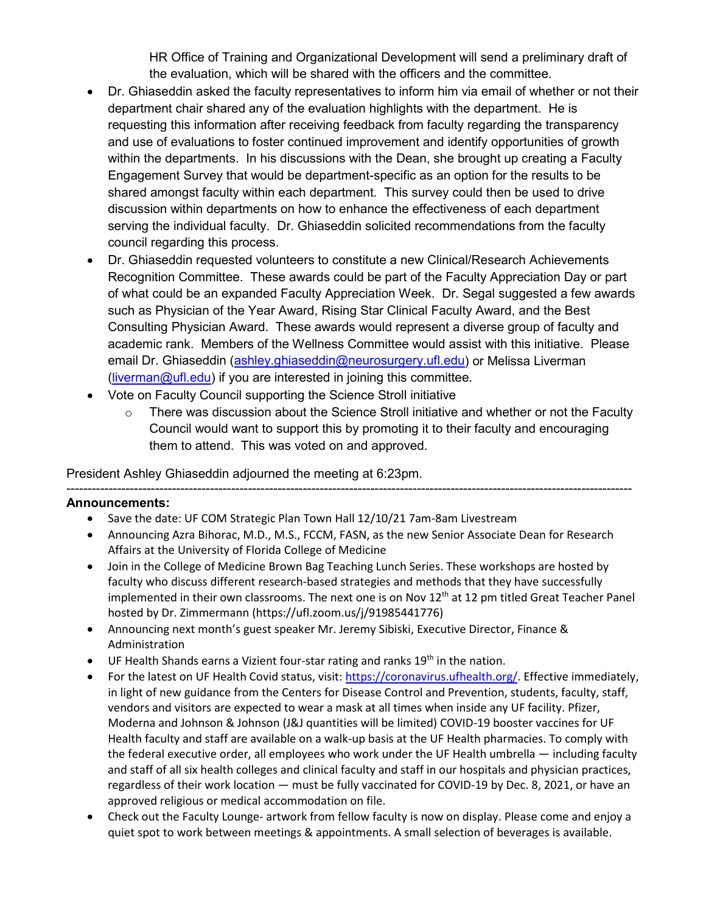HR Office of Training and Organizational Development will send a preliminary draft of the evaluation, which will be shared with the officers and the committee.

- Dr. Ghiaseddin asked the faculty representatives to inform him via email of whether or not their department chair shared any of the evaluation highlights with the department. He is requesting this information after receiving feedback from faculty regarding the transparency and use of evaluations to foster continued improvement and identify opportunities of growth within the departments. In his discussions with the Dean, she brought up creating a Faculty Engagement Survey that would be department-specific as an option for the results to be shared amongst faculty within each department. This survey could then be used to drive discussion within departments on how to enhance the effectiveness of each department serving the individual faculty. Dr. Ghiaseddin solicited recommendations from the faculty council regarding this process.
- Dr. Ghiaseddin requested volunteers to constitute a new Clinical/Research Achievements Recognition Committee. These awards could be part of the Faculty Appreciation Day or part of what could be an expanded Faculty Appreciation Week. Dr. Segal suggested a few awards such as Physician of the Year Award, Rising Star Clinical Faculty Award, and the Best Consulting Physician Award. These awards would represent a diverse group of faculty and academic rank. Members of the Wellness Committee would assist with this initiative. Please email Dr. Ghiaseddin [\(ashley.ghiaseddin@neurosurgery.ufl.edu\)](mailto:ashley.ghiaseddin@neurosurgery.ufl.edu) or Melissa Liverman [\(liverman@ufl.edu\)](mailto:liverman@ufl.edu) if you are interested in joining this committee.
- Vote on Faculty Council supporting the Science Stroll initiative
	- o There was discussion about the Science Stroll initiative and whether or not the Faculty Council would want to support this by promoting it to their faculty and encouraging them to attend. This was voted on and approved.

# President Ashley Ghiaseddin adjourned the meeting at 6:23pm.

### --------------------------------------------------------------------------------------------------------------------------------------

## **Announcements:**

- Save the date: UF COM Strategic Plan Town Hall 12/10/21 7am-8am Livestream
- Announcing Azra Bihorac, M.D., M.S., FCCM, FASN, as the new Senior Associate Dean for Research Affairs at the University of Florida College of Medicine
- Join in the College of Medicine Brown Bag Teaching Lunch Series. These workshops are hosted by faculty who discuss different research-based strategies and methods that they have successfully implemented in their own classrooms. The next one is on Nov  $12<sup>th</sup>$  at 12 pm titled Great Teacher Panel hosted by Dr. Zimmermann (https://ufl.zoom.us/j/91985441776)
- Announcing next month's guest speaker Mr. Jeremy Sibiski, Executive Director, Finance & Administration
- $\bullet$  UF Health Shands earns a Vizient four-star rating and ranks 19<sup>th</sup> in the nation.
- For the latest on UF Health Covid status, visit: [https://coronavirus.ufhealth.org/.](https://coronavirus.ufhealth.org/) Effective immediately, in light of new guidance from the Centers for Disease Control and Prevention, students, faculty, staff, vendors and visitors are expected to wear a mask at all times when inside any UF facility. Pfizer, Moderna and Johnson & Johnson (J&J quantities will be limited) COVID-19 booster vaccines for UF Health faculty and staff are available on a walk-up basis at the UF Health pharmacies. To comply with the federal executive order, all employees who work under the UF Health umbrella — including faculty and staff of all six health colleges and clinical faculty and staff in our hospitals and physician practices, regardless of their work location — must be fully vaccinated for COVID-19 by Dec. 8, 2021, or have an approved religious or medical accommodation on file.
- Check out the Faculty Lounge- artwork from fellow faculty is now on display. Please come and enjoy a quiet spot to work between meetings & appointments. A small selection of beverages is available.